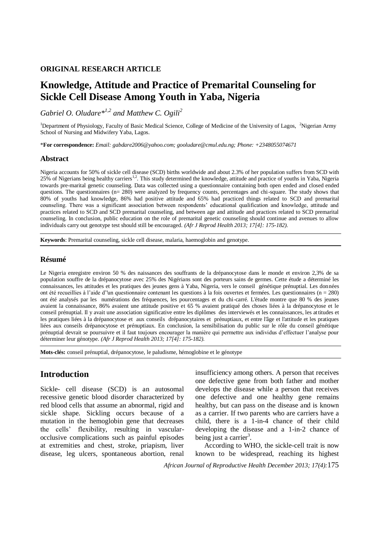### **ORIGINAL RESEARCH ARTICLE**

# **Knowledge, Attitude and Practice of Premarital Counseling for Sickle Cell Disease Among Youth in Yaba, Nigeria**

*Gabriel O. Oludare\*1,2 and Matthew C. Ogili<sup>2</sup>*

<sup>1</sup>Department of Physiology, Faculty of Basic Medical Science, College of Medicine of the University of Lagos, <sup>2</sup>Nigerian Army School of Nursing and Midwifery Yaba, Lagos.

\***For correspondence:** *Email: gabdare2006@yahoo.com; gooludare@cmul.edu.ng; Phone: +2348055074671*

### **Abstract**

Nigeria accounts for 50% of sickle cell disease (SCD) births worldwide and about 2.3% of her population suffers from SCD with 25% of Nigerians being healthy carriers<sup>1,2</sup>. This study determined the knowledge, attitude and practice of youths in Yaba, Nigeria towards pre-marital genetic counseling. Data was collected using a questionnaire containing both open ended and closed ended questions. The questionnaires (n= 280) were analyzed by frequency counts, percentages and chi-square. The study shows that 80% of youths had knowledge, 86% had positive attitude and 65% had practiced things related to SCD and premarital counseling. There was a significant association between respondents' educational qualification and knowledge, attitude and practices related to SCD and SCD premarital counseling, and between age and attitude and practices related to SCD premarital counseling. In conclusion, public education on the role of premarital genetic counseling should continue and avenues to allow individuals carry out genotype test should still be encouraged. *(Afr J Reprod Health 2013; 17[4]: 175-182).*

**Keywords**: Premarital counseling, sickle cell disease, malaria, haemoglobin and genotype.

### **Résumé**

Le Nigeria enregistre environ 50 % des naissances des souffrants de la drépanocytose dans le monde et environ 2,3% de sa population souffre de la drépanocytose avec 25% des Nigérians sont des porteurs sains de germes. Cette étude a déterminé les connaissances, les attitudes et les pratiques des jeunes gens à Yaba, Nigeria, vers le conseil génétique prénuptial. Les données ont été recueillies à l'aide d''un questionnaire contenant les questions à la fois ouvertes et fermées. Les questionnaires (n = 280) ont été analysés par les numérations des fréquences, les pourcentages et du chi-carré. L'étude montre que 80 % des jeunes avaient la connaissance, 86% avaient une attitude positive et 65 % avaient pratiqué des choses liées à la drépanocytose et le conseil prénuptial. Il y avait une association significative entre les diplômes des interviewés et les connaissances, les attitudes et les pratiques liées à la drépanocytose et aux conseils drépanocytaires et prénuptiaux, et entre l'âge et l'attitude et les pratiques liées aux conseils drépanocytose et prénuptiaux. En conclusion, la sensibilisation du public sur le rôle du conseil génétique prénuptial devrait se poursuivre et il faut toujours encourager la manière qui permettre aux individus d'effectuer l'analyse pour déterminer leur génotype. *(Afr J Reprod Health 2013; 17[4]: 175-182).*

**Mots-clés:** conseil prénuptial, drépanocytose, le paludisme, hémoglobine et le génotype

# **Introduction**

Sickle- cell disease (SCD) is an autosomal recessive genetic blood disorder characterized by red blood cells that assume an abnormal, rigid and sickle shape. Sickling occurs because of a mutation in the hemoglobin gene that decreases the cells' flexibility, resulting in vascularocclusive complications such as painful episodes at extremities and chest, stroke, priapism, liver disease, leg ulcers, spontaneous abortion, renal

insufficiency among others. A person that receives one defective gene from both father and mother develops the disease while a person that receives one defective and one healthy gene remains healthy, but can pass on the disease and is known as a carrier. If two parents who are carriers have a child, there is a 1-in-4 chance of their child developing the disease and a 1-in-2 chance of being just a carrier<sup>3</sup>.

According to WHO, the sickle-cell trait is now known to be widespread, reaching its highest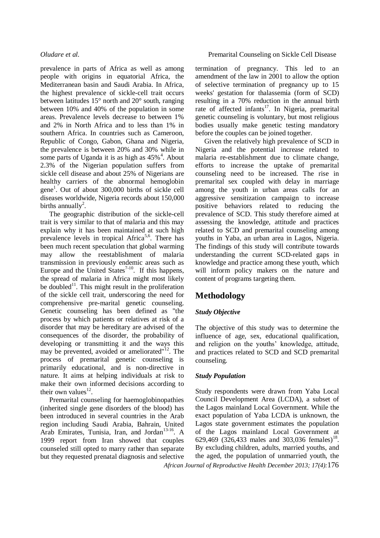prevalence in parts of Africa as well as among people with origins in equatorial Africa, the Mediterranean basin and Saudi Arabia. In Africa, the highest prevalence of sickle-cell trait occurs between latitudes 15° north and 20° south, ranging between 10% and 40% of the population in some areas. Prevalence levels decrease to between 1% and 2% in North Africa and to less than 1% in southern Africa. In countries such as Cameroon, Republic of Congo, Gabon, Ghana and Nigeria, the prevalence is between 20% and 30% while in some parts of Uganda it is as high as  $45\%$ <sup>4</sup>. About 2.3% of the Nigerian population suffers from sickle cell disease and about 25% of Nigerians are healthy carriers of the abnormal hemoglobin gene<sup>1</sup>. Out of about 300,000 births of sickle cell diseases worldwide, Nigeria records about 150,000 births annually<sup>2</sup>.

The geographic distribution of the sickle-cell trait is very similar to that of malaria and this may explain why it has been maintained at such high prevalence levels in tropical Africa<sup>5,6</sup>. There has been much recent speculation that global warming may allow the reestablishment of malaria transmission in previously endemic areas such as Europe and the United States<sup> $7-10$ </sup>. If this happens, the spread of malaria in Africa might most likely be doubled<sup>11</sup>. This might result in the proliferation of the sickle cell trait, underscoring the need for comprehensive pre-marital genetic counseling. Genetic counseling has been defined as "the process by which patients or relatives at risk of a disorder that may be hereditary are advised of the consequences of the disorder, the probability of developing or transmitting it and the ways this may be prevented, avoided or ameliorated"<sup>12</sup>. The process of premarital genetic counseling is primarily educational, and is non-directive in nature. It aims at helping individuals at risk to make their own informed decisions according to their own values $^{12}$ .

Premarital counseling for haemoglobinopathies (inherited single gene disorders of the blood) has been introduced in several countries in the Arab region including Saudi Arabia, Bahrain, United Arab Emirates, Tunisia, Iran, and Jordan<sup>13-16</sup>. A 1999 report from Iran showed that couples counseled still opted to marry rather than separate but they requested prenatal diagnosis and selective

termination of pregnancy. This led to an amendment of the law in 2001 to allow the option of selective termination of pregnancy up to 15 weeks' gestation for thalassemia (form of SCD) resulting in a 70% reduction in the annual birth rate of affected infants<sup>17</sup>. In Nigeria, premarital genetic counseling is voluntary, but most religious bodies usually make genetic testing mandatory before the couples can be joined together.

Given the relatively high prevalence of SCD in Nigeria and the potential increase related to malaria re-establishment due to climate change, efforts to increase the uptake of premarital counseling need to be increased. The rise in premarital sex coupled with delay in marriage among the youth in urban areas calls for an aggressive sensitization campaign to increase positive behaviors related to reducing the prevalence of SCD. This study therefore aimed at assessing the knowledge, attitude and practices related to SCD and premarital counseling among youths in Yaba, an urban area in Lagos, Nigeria. The findings of this study will contribute towards understanding the current SCD-related gaps in knowledge and practice among these youth, which will inform policy makers on the nature and content of programs targeting them.

# **Methodology**

# *Study Objective*

The objective of this study was to determine the influence of age, sex, educational qualification, and religion on the youths' knowledge, attitude, and practices related to SCD and SCD premarital counseling.

# *Study Population*

*African Journal of Reproductive Health December 2013; 17(4):*176 Study respondents were drawn from Yaba Local Council Development Area (LCDA), a subset of the Lagos mainland Local Government. While the exact population of Yaba LCDA is unknown, the Lagos state government estimates the population of the Lagos mainland Local Government at 629,469 (326,433 males and 303,036 females)<sup>18</sup>. By excluding children, adults, married youths, and the aged, the population of unmarried youth, the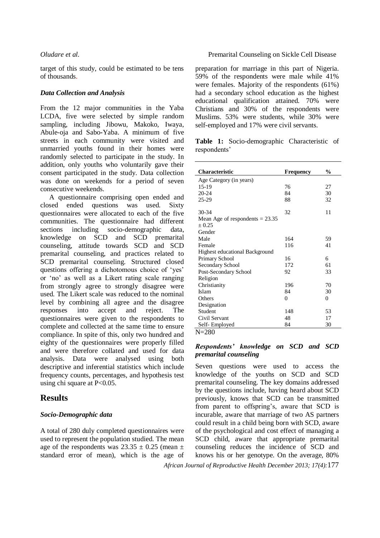target of this study, could be estimated to be tens of thousands.

### *Data Collection and Analysis*

From the 12 major communities in the Yaba LCDA, five were selected by simple random sampling, including Jibowu, Makoko, Iwaya, Abule-oja and Sabo**-**Yaba. A minimum of five streets in each community were visited and unmarried youths found in their homes were randomly selected to participate in the study. In addition, only youths who voluntarily gave their consent participated in the study. Data collection was done on weekends for a period of seven consecutive weekends.

A questionnaire comprising open ended and closed ended questions was used. Sixty questionnaires were allocated to each of the five communities. The questionnaire had different sections including socio-demographic data, knowledge on SCD and SCD premarital counseling, attitude towards SCD and SCD premarital counseling, and practices related to SCD premarital counseling. Structured closed questions offering a dichotomous choice of 'yes' or 'no' as well as a Likert rating scale ranging from strongly agree to strongly disagree were used. The Likert scale was reduced to the nominal level by combining all agree and the disagree responses into accept and reject. The questionnaires were given to the respondents to complete and collected at the same time to ensure compliance. In spite of this, only two hundred and eighty of the questionnaires were properly filled and were therefore collated and used for data analysis. Data were analysed using both descriptive and inferential statistics which include frequency counts, percentages, and hypothesis test using chi square at P<0.05.

# **Results**

### *Socio-Demographic data*

A total of 280 duly completed questionnaires were used to represent the population studied. The mean age of the respondents was  $23.35 \pm 0.25$  (mean  $\pm$ standard error of mean), which is the age of

### *Oludare et al.* Premarital Counseling on Sickle Cell Disease

preparation for marriage in this part of Nigeria. 59% of the respondents were male while 41% were females. Majority of the respondents (61%) had a secondary school education as the highest educational qualification attained. 70% were Christians and 30% of the respondents were Muslims. 53% were students, while 30% were self-employed and 17% were civil servants.

**Table 1:** Socio-demographic Characteristic of respondents'

| Characteristic                        | Frequency | $\frac{6}{9}$ |
|---------------------------------------|-----------|---------------|
| Age Category (in years)               |           |               |
| $15-19$                               | 76        | 27            |
| 20-24                                 | 84        | 30            |
| 25-29                                 | 88        | 32            |
|                                       |           |               |
| 30-34                                 | 32        | 11            |
| Mean Age of respondents $= 23.35$     |           |               |
| ± 0.25                                |           |               |
| Gender                                |           |               |
| Male                                  | 164       | 59            |
| Female                                | 116       | 41            |
| <b>Highest educational Background</b> |           |               |
| Primary School                        | 16        | 6             |
| Secondary School                      | 172       | 61            |
| Post-Secondary School                 | 92        | 33            |
| Religion                              |           |               |
| Christianity                          | 196       | 70            |
| Islam                                 | 84        | 30            |
| Others                                | $\theta$  | 0             |
| Designation                           |           |               |
| Student                               | 148       | 53            |
| Civil Servant                         | 48        | 17            |
| Self-Employed                         | 84        | 30            |

 $N = 280$ 

### *Respondents' knowledge on SCD and SCD premarital counseling*

Seven questions were used to access the knowledge of the youths on SCD and SCD premarital counseling. The key domains addressed by the questions include, having heard about SCD previously, knows that SCD can be transmitted from parent to offspring's, aware that SCD is incurable, aware that marriage of two AS partners could result in a child being born with SCD, aware of the psychological and cost effect of managing a SCD child, aware that appropriate premarital counseling reduces the incidence of SCD and knows his or her genotype. On the average, 80%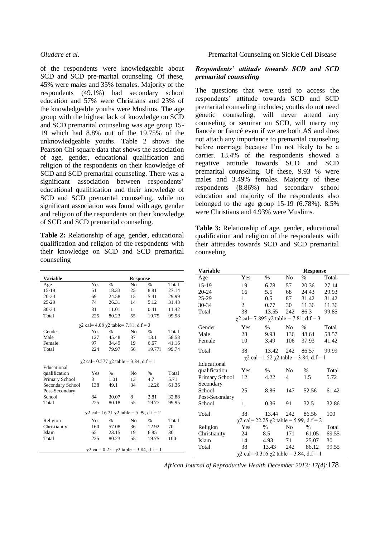of the respondents were knowledgeable about SCD and SCD pre-marital counseling. Of these, 45% were males and 35% females. Majority of the respondents (49.1%) had secondary school education and 57% were Christians and 23% of the knowledgeable youths were Muslims. The age group with the highest lack of knowledge on SCD and SCD premarital counseling was age group 15- 19 which had 8.8% out of the 19.75% of the unknowledgeable youths. Table 2 shows the Pearson Chi square data that shows the association of age, gender, educational qualification and religion of the respondents on their knowledge of SCD and SCD premarital counseling. There was a significant association between respondents' educational qualification and their knowledge of SCD and SCD premarital counseling, while no significant association was found with age, gender and religion of the respondents on their knowledge of SCD and SCD premarital counseling.

**Table 2:** Relationship of age, gender, educational qualification and religion of the respondents with their knowledge on SCD and SCD premarital counseling

### *Oludare et al.* Premarital Counseling on Sickle Cell Disease

## *Respondents' attitude towards SCD and SCD premarital counseling*

The questions that were used to access the respondents' attitude towards SCD and SCD premarital counseling includes; youths do not need genetic counseling, will never attend any counseling or seminar on SCD, will marry my fiancée or fiancé even if we are both AS and does not attach any importance to premarital counseling before marriage because I'm not likely to be a carrier. 13.4% of the respondents showed a negative attitude towards SCD and SCD premarital counseling. Of these, 9.93 % were males and 3.49% females. Majority of these respondents (8.86%) had secondary school education and majority of the respondents also belonged to the age group 15-19 (6.78%). 8.5% were Christians and 4.93% were Muslims.

**Table 3:** Relationship of age, gender, educational qualification and religion of the respondents with their attitudes towards SCD and SCD premarital counseling

|                                                        |          |                                                        |                 |                                                   |       | <b>Variable</b> |              |                                                    |                | <b>Response</b>                                    |       |
|--------------------------------------------------------|----------|--------------------------------------------------------|-----------------|---------------------------------------------------|-------|-----------------|--------------|----------------------------------------------------|----------------|----------------------------------------------------|-------|
| <b>Variable</b>                                        |          |                                                        | <b>Response</b> |                                                   |       | Age             | Yes          | $\%$                                               | N <sub>o</sub> | $\%$                                               | Total |
| Age                                                    | Yes      | $\%$                                                   | N <sub>o</sub>  | $\%$                                              | Total | $15-19$         | 19           | 6.78                                               | 57             | 20.36                                              | 27.14 |
| $15-19$                                                | 51       | 18.33                                                  | 25              | 8.81                                              | 27.14 | 20-24           | 16           | 5.5                                                | 68             | 24.43                                              | 29.93 |
| $20 - 24$                                              | 69       | 24.58                                                  | 15              | 5.41                                              | 29.99 | 25-29           | 1            | 0.5                                                | 87             | 31.42                                              | 31.42 |
| 25-29                                                  | 74       | 26.31                                                  | 14              | 5.12                                              | 31.43 | 30-34           | $\mathbf{2}$ | 0.77                                               | 30             | 11.36                                              | 11.36 |
| 30-34                                                  | 31       | 11.01                                                  | $\mathbf{1}$    | 0.41                                              | 11.42 | Total           | 38           | 13.55                                              | 242            | 86.3                                               | 99.85 |
| Total                                                  | 225      | 80.23                                                  | 55              | 19.75                                             | 99.98 |                 |              | $\chi$ 2 cal= 7.895 $\chi$ 2 table = 7.81, d.f = 3 |                |                                                    |       |
| $\gamma$ 2 cal= 4.08 $\gamma$ 2 table= 7.81, d.f = 3   |          |                                                        | Gender          | Yes                                               | $\%$  | N <sub>o</sub>  | $\%$         | Total                                              |                |                                                    |       |
| Gender                                                 | Yes      | %                                                      | N <sub>0</sub>  | %                                                 | Total |                 |              |                                                    |                |                                                    |       |
| Male                                                   | 127      | 45.48                                                  | 37              | 13.1                                              | 58.58 | Male            | 28           | 9.93                                               | 136            | 48.64                                              | 58.57 |
| Female                                                 | 97       | 34.49                                                  | 19              | 6.67                                              | 41.16 | Female          | 10           | 3.49                                               | 106            | 37.93                                              | 41.42 |
| Total                                                  | 224      | 79.97                                                  | 56              | 19.771                                            | 99.74 | Total           | 38           | 13.42                                              | 242            | 86.57                                              | 99.99 |
|                                                        |          |                                                        |                 | $\chi$ 2 cal= 1.52 $\chi$ 2 table = 3.84, d.f = 1 |       |                 |              |                                                    |                |                                                    |       |
|                                                        |          | $\gamma$ 2 cal= 0.577 $\gamma$ 2 table = 3.84, d.f = 1 |                 |                                                   |       | Educational     |              |                                                    |                |                                                    |       |
| Educational                                            |          |                                                        |                 |                                                   |       | qualification   | Yes          | $\%$                                               | No             | $\%$                                               | Total |
| qualification                                          | Yes<br>3 | $\%$                                                   | No<br>13        | %<br>4.7                                          | Total | Primary School  | 12           | 4.22                                               | 4              | 1.5                                                | 5.72  |
| Primary School                                         |          | 1.01                                                   |                 |                                                   | 5.71  | Secondary       |              |                                                    |                |                                                    |       |
| Secondary School<br>Post-Secondary                     | 138      | 49.1                                                   | 34              | 12.26                                             | 61.36 | School          | 25           | 8.86                                               | 147            | 52.56                                              | 61.42 |
| School                                                 | 84       | 30.07                                                  | 8               | 2.81                                              | 32.88 | Post-Secondary  |              |                                                    |                |                                                    |       |
| Total                                                  | 225      | 80.18                                                  | 55              | 19.77                                             | 99.95 |                 | 1            | 0.36                                               | 91             | 32.5                                               | 32.86 |
|                                                        |          |                                                        |                 |                                                   |       | School          |              |                                                    |                |                                                    |       |
|                                                        |          | $\chi$ 2 cal= 16.21 $\chi$ 2 table = 5.99, d.f = 2     |                 |                                                   |       | Total           | 38           | 13.44                                              | 242            | 86.56                                              | 100   |
| Religion                                               | Yes      | $\%$                                                   | N <sub>0</sub>  | $\%$                                              | Total |                 |              |                                                    |                | $\chi$ 2 cal= 22.25 $\chi$ 2 table = 5.99, d.f = 2 |       |
| Christianity                                           | 160      | 57.08                                                  | 36              | 12.92                                             | 70    | Religion        | Yes          | $\%$                                               | No             | $\%$                                               | Total |
| Islam                                                  | 65       | 23.15                                                  | 19              | 6.85                                              | 30    | Christianity    | 24           | 8.5                                                | 171            | 61.05                                              | 69.55 |
| Total                                                  | 225      | 80.23                                                  | 55              | 19.75                                             | 100   | Islam           | 14           | 4.93                                               | 71             | 25.07                                              | 30    |
|                                                        |          |                                                        |                 |                                                   |       | Total           | 38           | 13.43                                              | 242            | 86.12                                              | 99.55 |
| $\gamma$ 2 cal= 0.251 $\gamma$ 2 table = 3.84, d.f = 1 |          |                                                        |                 |                                                   |       |                 |              | $\chi$ 2 cal= 0.316 $\chi$ 2 table = 3.84, d.f = 1 |                |                                                    |       |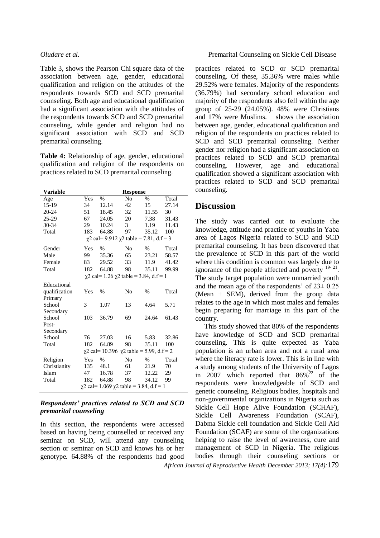Table 3, shows the Pearson Chi square data of the association between age, gender, educational qualification and religion on the attitudes of the respondents towards SCD and SCD premarital counseling. Both age and educational qualification had a significant association with the attitudes of the respondents towards SCD and SCD premarital counseling, while gender and religion had no significant association with SCD and SCD premarital counseling.

**Table 4:** Relationship of age, gender, educational qualification and religion of the respondents on practices related to SCD premarital counseling.

| Variable                                            | <b>Response</b>                                   |               |                |       |       |  |  |  |
|-----------------------------------------------------|---------------------------------------------------|---------------|----------------|-------|-------|--|--|--|
| Age                                                 | Yes                                               | $\frac{0}{0}$ | No             | $\%$  | Total |  |  |  |
| 15-19                                               | 34                                                | 12.14         | 42             | 15    | 27.14 |  |  |  |
| $20 - 24$                                           | 51                                                | 18.45         | 32             | 11.55 | 30    |  |  |  |
| $25-29$                                             | 67                                                | 24.05         | 20             | 7.38  | 31.43 |  |  |  |
| 30-34                                               | 29                                                | 10.24         | $\mathcal{E}$  | 1.19  | 11.43 |  |  |  |
| Total                                               | 183                                               | 64.88         | 97             | 35.12 | 100   |  |  |  |
| $\chi$ 2 cal= 9.912 $\chi$ 2 table = 7.81, d.f = 3  |                                                   |               |                |       |       |  |  |  |
| Gender                                              | Yes                                               | $\%$          | No             | $\%$  | Total |  |  |  |
| Male                                                | 99                                                | 35.36         | 65             | 23.21 | 58.57 |  |  |  |
| Female                                              | 83                                                | 29.52         | 33             | 11.9  | 41.42 |  |  |  |
| Total                                               | 182                                               | 64.88         | 98             | 35.11 | 99.99 |  |  |  |
|                                                     | $\chi$ 2 cal= 1.26 $\chi$ 2 table = 3.84, d.f = 1 |               |                |       |       |  |  |  |
| Educational                                         |                                                   |               |                |       |       |  |  |  |
| qualification                                       | Yes                                               | $\frac{0}{0}$ | N <sub>0</sub> | $\%$  | Total |  |  |  |
| Primary                                             |                                                   |               |                |       |       |  |  |  |
| School                                              | 3                                                 | 1.07          | 13             | 4.64  | 5.71  |  |  |  |
| Secondary                                           |                                                   |               |                |       |       |  |  |  |
| School                                              | 103                                               | 36.79         | 69             | 24.64 | 61.43 |  |  |  |
| Post-                                               |                                                   |               |                |       |       |  |  |  |
| Secondary                                           |                                                   |               |                |       |       |  |  |  |
| School                                              | 76                                                | 27.03         | 16             | 5.83  | 32.86 |  |  |  |
| Total                                               | 182                                               | 64.89         | 98             | 35.11 | 100   |  |  |  |
| $\chi$ 2 cal= 10.396 $\chi$ 2 table = 5.99, d.f = 2 |                                                   |               |                |       |       |  |  |  |
| Religion                                            | Yes                                               | $\%$          | N <sub>0</sub> | $\%$  | Total |  |  |  |
| Christianity                                        | 135                                               | 48.1          | 61             | 21.9  | 70    |  |  |  |
| Islam                                               | 47                                                | 16.78         | 37             | 12.22 | 29    |  |  |  |
| Total                                               | 182                                               | 64.88         | 98             | 34.12 | 99    |  |  |  |
| $\chi$ 2 cal= 1.069 $\chi$ 2 table = 3.84, d.f = 1  |                                                   |               |                |       |       |  |  |  |

### *Respondents' practices related to SCD and SCD premarital counseling*

In this section, the respondents were accessed based on having being counselled or received any seminar on SCD, will attend any counseling section or seminar on SCD and knows his or her genotype. 64.88% of the respondents had good

practices related to SCD or SCD premarital counseling. Of these, 35.36% were males while 29.52% were females. Majority of the respondents (36.79%) had secondary school education and majority of the respondents also fell within the age group of 25-29 (24.05%). 48% were Christians and 17% were Muslims. shows the association between age, gender, educational qualification and religion of the respondents on practices related to SCD and SCD premarital counseling. Neither gender nor religion had a significant association on practices related to SCD and SCD premarital counseling. However, age and educational qualification showed a significant association with practices related to SCD and SCD premarital counseling.

# **Discussion**

The study was carried out to evaluate the knowledge, attitude and practice of youths in Yaba area of Lagos Nigeria related to SCD and SCD premarital counseling. It has been discovered that the prevalence of SCD in this part of the world where this condition is common was largely due to ignorance of the people affected and poverty  $19-21$ . The study target population were unmarried youth and the mean age of the respondents' of  $23\pm 0.25$ (Mean + SEM), derived from the group data relates to the age in which most males and females begin preparing for marriage in this part of the country.

*African Journal of Reproductive Health December 2013; 17(4):*179 This study showed that 80% of the respondents have knowledge of SCD and SCD premarital counseling. This is quite expected as Yaba population is an urban area and not a rural area where the literacy rate is lower. This is in line with a study among students of the University of Lagos in 2007 which reported that  $86\%^{22}$  of the respondents were knowledgeable of SCD and genetic counseling. Religious bodies, hospitals and non-governmental organizations in Nigeria such as Sickle Cell Hope Alive Foundation (SCHAF), Sickle Cell Awareness Foundation (SCAF), Dabma Sickle cell foundation and Sickle Cell Aid Foundation (SCAF) are some of the organizations helping to raise the level of awareness, cure and management of SCD in Nigeria. The religious bodies through their counseling sections or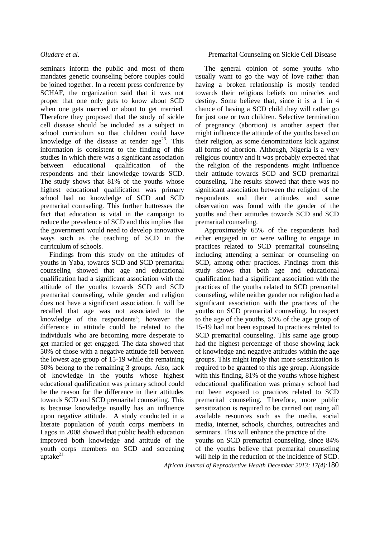seminars inform the public and most of them mandates genetic counseling before couples could be joined together. In a recent press conference by SCHAF, the organization said that it was not proper that one only gets to know about SCD when one gets married or about to get married. Therefore they proposed that the study of sickle cell disease should be included as a subject in school curriculum so that children could have knowledge of the disease at tender age<sup>23</sup>. This information is consistent to the finding of this studies in which there was a significant association between educational qualification of the respondents and their knowledge towards SCD. The study shows that 81% of the youths whose highest educational qualification was primary school had no knowledge of SCD and SCD premarital counseling. This further buttresses the fact that education is vital in the campaign to reduce the prevalence of SCD and this implies that the government would need to develop innovative ways such as the teaching of SCD in the curriculum of schools.

Findings from this study on the attitudes of youths in Yaba, towards SCD and SCD premarital counseling showed that age and educational qualification had a significant association with the attitude of the youths towards SCD and SCD premarital counseling, while gender and religion does not have a significant association. It will be recalled that age was not associated to the knowledge of the respondents'; however the difference in attitude could be related to the individuals who are becoming more desperate to get married or get engaged. The data showed that 50% of those with a negative attitude fell between the lowest age group of 15-19 while the remaining 50% belong to the remaining 3 groups. Also, lack of knowledge in the youths whose highest educational qualification was primary school could be the reason for the difference in their attitudes towards SCD and SCD premarital counseling. This is because knowledge usually has an influence upon negative attitude. A study conducted in a literate population of youth corps members in Lagos in 2008 showed that public health education improved both knowledge and attitude of the youth corps members on SCD and screening uptake $^{21}$ 

### *Oludare et al.* Premarital Counseling on Sickle Cell Disease

The general opinion of some youths who usually want to go the way of love rather than having a broken relationship is mostly tended towards their religious beliefs on miracles and destiny. Some believe that, since it is a 1 in 4 chance of having a SCD child they will rather go for just one or two children. Selective termination of pregnancy (abortion) is another aspect that might influence the attitude of the youths based on their religion, as some denominations kick against all forms of abortion. Although, Nigeria is a very religious country and it was probably expected that the religion of the respondents might influence their attitude towards SCD and SCD premarital counseling. The results showed that there was no significant association between the religion of the respondents and their attitudes and same observation was found with the gender of the youths and their attitudes towards SCD and SCD premarital counseling.

Approximately 65% of the respondents had either engaged in or were willing to engage in practices related to SCD premarital counseling including attending a seminar or counseling on SCD, among other practices. Findings from this study shows that both age and educational qualification had a significant association with the practices of the youths related to SCD premarital counseling, while neither gender nor religion had a significant association with the practices of the youths on SCD premarital counseling. In respect to the age of the youths, 55% of the age group of 15-19 had not been exposed to practices related to SCD premarital counseling. This same age group had the highest percentage of those showing lack of knowledge and negative attitudes within the age groups. This might imply that more sensitization is required to be granted to this age group. Alongside with this finding, 81% of the youths whose highest educational qualification was primary school had not been exposed to practices related to SCD premarital counseling. Therefore, more public sensitization is required to be carried out using all available resources such as the media, social media, internet, schools, churches, outreaches and seminars. This will enhance the practice of the youths on SCD premarital counseling, since 84%

of the youths believe that premarital counseling will help in the reduction of the incidence of SCD.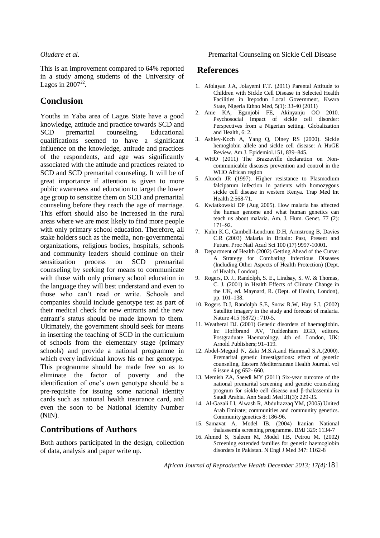This is an improvement compared to 64% reported in a study among students of the University of Lagos in  $2007^{22}$ .

# **Conclusion**

Youths in Yaba area of Lagos State have a good knowledge, attitude and practice towards SCD and SCD premarital counseling. Educational qualifications seemed to have a significant influence on the knowledge, attitude and practices of the respondents, and age was significantly associated with the attitude and practices related to SCD and SCD premarital counseling. It will be of great importance if attention is given to more public awareness and education to target the lower age group to sensitize them on SCD and premarital counseling before they reach the age of marriage. This effort should also be increased in the rural areas where we are most likely to find more people with only primary school education. Therefore, all stake holders such as the media, non-governmental organizations, religious bodies, hospitals, schools and community leaders should continue on their sensitization process on SCD premarital counseling by seeking for means to communicate with those with only primary school education in the language they will best understand and even to those who can't read or write. Schools and companies should include genotype test as part of their medical check for new entrants and the new entrant's status should be made known to them. Ultimately, the government should seek for means in inserting the teaching of SCD in the curriculum of schools from the elementary stage (primary schools) and provide a national programme in which every individual knows his or her genotype. This programme should be made free so as to eliminate the factor of poverty and the identification of one's own genotype should be a pre-requisite for issuing some national identity cards such as national health insurance card, and even the soon to be National identity Number (NIN).

# **Contributions of Authors**

Both authors participated in the design, collection of data, analysis and paper write up.

### *Oludare et al.* Premarital Counseling on Sickle Cell Disease

## **References**

- 1. Afolayan J.A, Jolayemi F.T. (2011) Parental Attitude to Children with Sickle Cell Disease in Selected Health Facilities in Irepodun Local Government, Kwara State, Nigeria Ethno Med, 5(1): 33-40 (2011)
- 2. Anie KA, Egunjobi FE, Akinyanju OO 2010. Psychosocial impact of sickle cell disorder: Perspectives from a Nigerian setting. Globalization and Health, 6: 2.
- 3. Ashley-Koch A, Yang Q, Olney RS (2000). Sickle hemoglobin allele and sickle cell disease: A HuGE Review. Am.J. Epidemiol.151, 839–845.
- 4. WHO (2011) The Brazzaville declaration on Noncommunicable diseases prevention and control in the WHO African region
- 5. Aluoch JR (1997). Higher resistance to Plasmodium falciparum infection in patients with homozygous sickle cell disease in western Kenya. Trap Med Int Health 2:568-71.
- 6. Kwiatkowski DP (Aug 2005). How malaria has affected the human genome and what human genetics can teach us about malaria. Am. J. Hum. Genet. 77 (2): 171–92.
- 7. Kuhn K.G, Cambell-Lendrum D.H, Armstrong B, Davies C.R (2003) Malaria in Britain: Past, Present and Future. Proc Natl Acad Sci 100 (17) 9997-10001.
- 8. Department of Health (2002) Getting Ahead of the Curve: A Strategy for Combating Infectious Diseases (Including Other Aspects of Health Protection) (Dept. of Health, London).
- 9. Rogers, D. J., Randolph, S. E., Lindsay, S. W. & Thomas, C. J. (2001) in Health Effects of Climate Change in the UK, ed. Maynard, R. (Dept. of Health, London), pp. 101–138.
- 10. Rogers D.J, Randolph S.E, Snow R.W, Hay S.I. (2002) Satellite imagery in the study and forecast of malaria. Nature 415 (6872) : 710-5.
- 11. Weatheral DJ. (2001) Genetic disorders of haemoglobin. In: Hoffbrand AV, Tuddenham EGD, editors. Postgraduate Haematology. 4th ed. London, UK: Arnold Publishers; 91–119.
- 12. Abdel-Meguid N, Zaki M.S.A.and Hammad S.A.(2000). Premarital genetic investigations: effect of genetic counseling, Eastern Mediterranean Health Journal. vol 6 issue 4 pg 652- 660.
- 13. Memish ZA, Saeedi MY (2011) Six-year outcome of the national premarital screening and genetic counseling program for sickle cell disease and β-thalassemia in Saudi Arabia. Ann Saudi Med 31(3): 229-35.
- 14. Al-Gazali LI, Alwash R, Abdulrazzaq YM, (2005) United Arab Emirate; communities and community genetics. Community genetics 8: 186-96.
- 15. Samavat A, Model IB. (2004) Iranian National thalassemia screening programme. BMJ 329: 1134-7
- 16. Ahmed S, Saleem M, Model I.B, Petrou M. (2002) Screening extended families for genetic haemoglobin disorders in Pakistan. N Engl J Med 347: 1162-8